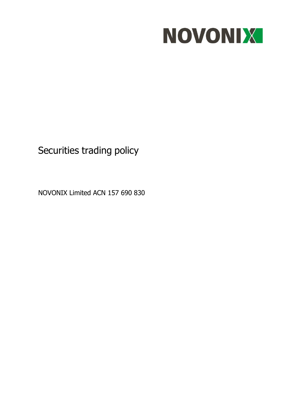

# Securities trading policy

NOVONIX Limited ACN 157 690 830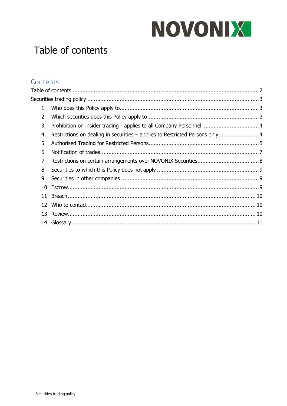# NOVONIX

# <span id="page-1-0"></span>Table of contents

# Contents

| $\mathbf{1}$   |                                                                              |  |
|----------------|------------------------------------------------------------------------------|--|
| $\overline{2}$ |                                                                              |  |
| 3              | Prohibition on insider trading - applies to all Company Personnel  4         |  |
| 4              | Restrictions on dealing in securities - applies to Restricted Persons only 4 |  |
| 5              |                                                                              |  |
| 6              |                                                                              |  |
| $\overline{7}$ |                                                                              |  |
| 8              |                                                                              |  |
| 9              |                                                                              |  |
| 10             |                                                                              |  |
| 11             |                                                                              |  |
| 12             |                                                                              |  |
| 13             |                                                                              |  |
|                |                                                                              |  |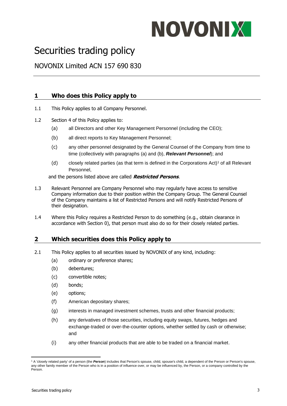# NOVONIX

# <span id="page-2-0"></span>Securities trading policy

<span id="page-2-1"></span>NOVONIX Limited ACN 157 690 830

# **1 Who does this Policy apply to**

- 1.1 This Policy applies to all Company Personnel.
- <span id="page-2-6"></span><span id="page-2-4"></span><span id="page-2-3"></span>1.2 Section [4](#page-3-1) of this Policy applies to:
	- (a) all Directors and other Key Management Personnel (including the CEO);
	- (b) all direct reports to Key Management Personnel;
	- (c) any other personnel designated by the General Counsel of the Company from time to time (collectively with paragraphs [\(a\)](#page-2-3) and [\(b\),](#page-2-4) *Relevant Personnel*); and
	- (d) closely related parties (as that term is defined in the Corporations Act)<sup>1</sup> of all Relevant Personnel,

and the persons listed above are called **Restricted Persons**.

- 1.3 Relevant Personnel are Company Personnel who may regularly have access to sensitive Company information due to their position within the Company Group. The General Counsel of the Company maintains a list of Restricted Persons and will notify Restricted Persons of their designation.
- 1.4 Where this Policy requires a Restricted Person to do something (e.g., obtain clearance in accordance with Section [0\)](#page-6-1), that person must also do so for their closely related parties.

# <span id="page-2-2"></span>**2 Which securities does this Policy apply to**

- <span id="page-2-5"></span>2.1 This Policy applies to all securities issued by NOVONIX of any kind, including:
	- (a) ordinary or preference shares;
	- (b) debentures;
	- (c) convertible notes;
	- (d) bonds;
	- (e) options;
	- (f) American depositary shares;
	- (g) interests in managed investment schemes, trusts and other financial products;
	- (h) any derivatives of those securities, including equity swaps, futures, hedges and exchange-traded or over-the-counter options, whether settled by cash or otherwise; and
	- (i) any other financial products that are able to be traded on a financial market.

<sup>1</sup> A 'closely related party' of a person (the *Person*) includes that Person's spouse, child, spouse's child, a dependent of the Person or Person's spouse, any other family member of the Person who is in a position of influence over, or may be influenced by, the Person, or a company controlled by the Person.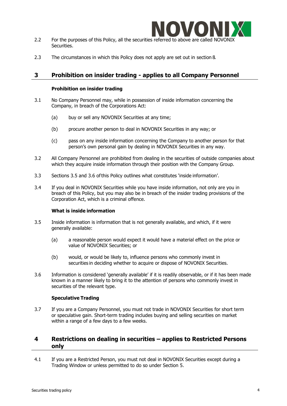

- 2.2 For the purposes of this Policy, all the securities referred to above are called NOVONII Securities.
- 2.3 The circumstances in which this Policy does not apply are set out in section [8.](#page-8-0)

### <span id="page-3-0"></span>**3 Prohibition on insider trading - applies to all Company Personnel**

#### **Prohibition on insider trading**

- 3.1 No Company Personnel may, while in possession of inside information concerning the Company, in breach of the Corporations Act:
	- (a) buy or sell any NOVONIX Securities at any time;
	- (b) procure another person to deal in NOVONIX Securities in any way; or
	- (c) pass on any inside information concerning the Company to another person for that person's own personal gain by dealing in NOVONIX Securities in any way.
- 3.2 All Company Personnel are prohibited from dealing in the securities of outside companies about which they acquire inside information through their position with the Company Group.
- 3.3 Sections [3.5](#page-3-2) and [3.6](#page-3-3) ofthis Policy outlines what constitutes 'inside information'.
- 3.4 If you deal in NOVONIX Securities while you have inside information, not only are you in breach of this Policy, but you may also be in breach of the insider trading provisions of the Corporation Act, which is a criminal offence.

#### **What is inside information**

- <span id="page-3-2"></span>3.5 Inside information is information that is not generally available, and which, if it were generally available:
	- (a) a reasonable person would expect it would have a material effect on the price or value of NOVONIX Securities; or
	- (b) would, or would be likely to, influence persons who commonly invest in securities in deciding whether to acquire or dispose of NOVONIX Securities.
- <span id="page-3-3"></span>3.6 Information is considered 'generally available' if it is readily observable, or if it has been made known in a manner likely to bring it to the attention of persons who commonly invest in securities of the relevant type.

#### **Speculative Trading**

3.7 If you are a Company Personnel, you must not trade in NOVONIX Securities for short term or speculative gain. Short-term trading includes buying and selling securities on market within a range of a few days to a few weeks.

# <span id="page-3-1"></span>**4 Restrictions on dealing in securities – applies to Restricted Persons only**

4.1 If you are a Restricted Person, you must not deal in NOVONIX Securities except during a Trading Window or unless permitted to do so under Section [5.](#page-4-0)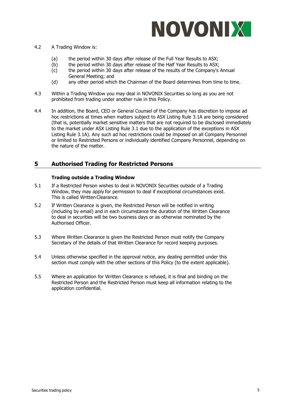

#### <span id="page-4-1"></span>4.2 A Trading Window is:

- (a) the period within 30 days after release of the Full Year Results to ASX;
- (b) the period within 30 days after release of the Half Year Results to ASX;
- (c) the period within 30 days after release of the results of the Company's Annual General Meeting; and
- (d) any other period which the Chairman of the Board determines from time to time.
- 4.3 Within a Trading Window you may deal in NOVONIX Securities so long as you are not prohibited from trading under another rule in this Policy.
- 4.4 In addition, the Board, CEO or General Counsel of the Company has discretion to impose ad hoc restrictions at times when matters subject to ASX Listing Rule 3.1A are being considered (that is, potentially market sensitive matters that are not required to be disclosed immediately to the market under ASX Listing Rule 3.1 due to the application of the exceptions in ASX Listing Rule 3.1A). Any such ad hoc restrictions could be imposed on all Company Personnel or limited to Restricted Persons or individually identified Company Personnel, depending on the nature of the matter.

### <span id="page-4-0"></span>**5 Authorised Trading for Restricted Persons**

#### **Trading outside a Trading Window**

- 5.1 If a Restricted Person wishes to deal in NOVONIX Securities outside of a Trading Window, they may apply for permission to deal if exceptional circumstances exist. This is called Written Clearance.
- 5.2 If Written Clearance is given, the Restricted Person will be notified in writing (including by email) and in each circumstance the duration of the Written Clearance to deal in securities will be two business days or as otherwise nominated by the Authorised Officer.
- 5.3 Where Written Clearance is given the Restricted Person must notify the Company Secretary of the details of that Written Clearance for record keeping purposes.
- 5.4 Unless otherwise specified in the approval notice, any dealing permitted under this section must comply with the other sections of this Policy (to the extent applicable).
- 5.5 Where an application for Written Clearance is refused, it is final and binding on the Restricted Person and the Restricted Person must keep all information relating to the application confidential.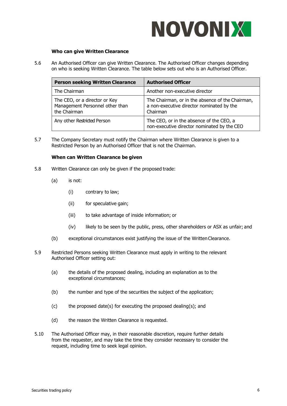

#### **Who can give Written Clearance**

<span id="page-5-0"></span>5.6 An Authorised Officer can give Written Clearance. The Authorised Officer changes depending on who is seeking Written Clearance. The table below sets out who is an Authorised Officer.

| <b>Person seeking Written Clearance</b>                                          | <b>Authorised Officer</b>                                                                                 |
|----------------------------------------------------------------------------------|-----------------------------------------------------------------------------------------------------------|
| The Chairman                                                                     | Another non-executive director                                                                            |
| The CEO, or a director or Key<br>Management Personnel other than<br>the Chairman | The Chairman, or in the absence of the Chairman,<br>a non-executive director nominated by the<br>Chairman |
| Any other Restricted Person                                                      | The CEO, or in the absence of the CEO, a<br>non-executive director nominated by the CEO                   |

5.7 The Company Secretary must notify the Chairman where Written Clearance is given to a Restricted Person by an Authorised Officer that is not the Chairman.

#### **When can Written Clearance be given**

- 5.8 Written Clearance can only be given if the proposed trade:
	- (a) is not:
		- (i) contrary to law;
		- (ii) for speculative gain;
		- (iii) to take advantage of inside information; or
		- (iv) likely to be seen by the public, press, other shareholders or ASX as unfair; and
	- (b) exceptional circumstances exist justifying the issue of the WrittenClearance.
- 5.9 Restricted Persons seeking Written Clearance must apply in writing to the relevant Authorised Officer setting out:
	- (a) the details of the proposed dealing, including an explanation as to the exceptional circumstances;
	- (b) the number and type of the securities the subject of the application;
	- (c) the proposed date(s) for executing the proposed dealing(s); and
	- (d) the reason the Written Clearance is requested.
- 5.10 The Authorised Officer may, in their reasonable discretion, require further details from the requester, and may take the time they consider necessary to consider the request, including time to seek legal opinion.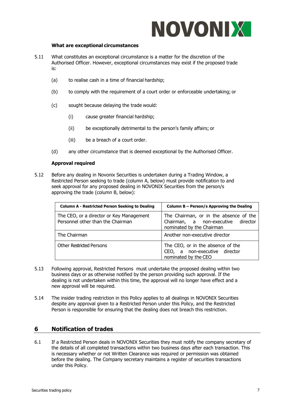

#### **What are exceptional circumstances**

- 5.11 What constitutes an exceptional circumstance is a matter for the discretion of the Authorised Officer. However, exceptional circumstances may exist if the proposed trade is:
	- (a) to realise cash in a time of financial hardship;
	- (b) to comply with the requirement of a court order or enforceable undertaking; or
	- (c) sought because delaying the trade would:
		- (i) cause greater financial hardship;
		- (ii) be exceptionally detrimental to the person's family affairs; or
		- (iii) be a breach of a court order.
	- (d) any other circumstance that is deemed exceptional by the Authorised Officer.

#### **Approval required**

5.12 Before any dealing in Novonix Securities is undertaken during a Trading Window, a Restricted Person seeking to trade (column A, below) must provide notification to and seek approval for any proposed dealing in NOVONIX Securities from the person/s approving the trade (column B, below):

| <b>Column A - Restricted Person Seeking to Dealing</b>                        | Column B – Person/s Approving the Dealing                                                                 |
|-------------------------------------------------------------------------------|-----------------------------------------------------------------------------------------------------------|
| The CEO, or a director or Key Management<br>Personnel other than the Chairman | The Chairman, or in the absence of the<br>Chairman, a non-executive director<br>nominated by the Chairman |
| The Chairman                                                                  | Another non-executive director                                                                            |
| <b>Other Restricted Persons</b>                                               | The CEO, or in the absence of the<br>CEO, a non-executive director<br>nominated by the CEO                |

- 5.13 Following approval, Restricted Persons must undertake the proposed dealing within two business days or as otherwise notified by the person providing such approval. If the dealing is not undertaken within this time, the approval will no longer have effect and a new approval will be required.
- 5.14 The insider trading restriction in this Policy applies to all dealings in NOVONIX Securities despite any approval given to a Restricted Person under this Policy, and the Restricted Person is responsible for ensuring that the dealing does not breach this restriction.

# <span id="page-6-1"></span><span id="page-6-0"></span>**6 Notification of trades**

6.1 If a Restricted Person deals in NOVONIX Securities they must notify the company secretary of the details of all completed transactions within two business days after each transaction. This is necessary whether or not Written Clearance was required or permission was obtained before the dealing. The Company secretary maintains a register of securities transactions under this Policy.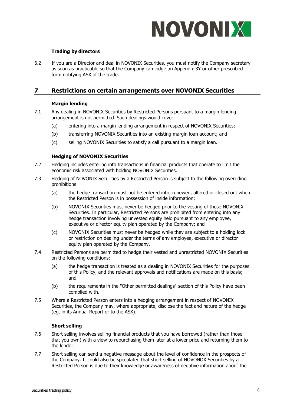

#### **Trading by directors**

6.2 If you are a Director and deal in NOVONIX Securities, you must notify the Company secretary as soon as practicable so that the Company can lodge an Appendix 3Y or other prescribed form notifying ASX of the trade.

## <span id="page-7-0"></span>**7 Restrictions on certain arrangements over NOVONIX Securities**

#### **Margin lending**

- 7.1 Any dealing in NOVONIX Securities by Restricted Persons pursuant to a margin lending arrangement is not permitted. Such dealings would cover:
	- (a) entering into a margin lending arrangement in respect of NOVONIX Securities;
	- (b) transferring NOVONIX Securities into an existing margin loan account; and
	- (c) selling NOVONIX Securities to satisfy a call pursuant to a margin loan.

#### **Hedging of NOVONIX Securities**

- 7.2 Hedging includes entering into transactions in financial products that operate to limit the economic risk associated with holding NOVONIX Securities.
- 7.3 Hedging of NOVONIX Securities by a Restricted Person is subject to the following overriding prohibitions:
	- (a) the hedge transaction must not be entered into, renewed, altered or closed out when the Restricted Person is in possession of inside information;
	- (b) NOVONIX Securities must never be hedged prior to the vesting of those NOVONIX Securities. In particular, Restricted Persons are prohibited from entering into any hedge transaction involving unvested equity held pursuant to any employee, executive or director equity plan operated by the Company; and
	- (c) NOVONIX Securities must never be hedged while they are subject to a holding lock or restriction on dealing under the terms of any employee, executive or director equity plan operated by the Company.
- 7.4 Restricted Persons are permitted to hedge their vested and unrestricted NOVONIX Securities on the following conditions:
	- (a) the hedge transaction is treated as a dealing in NOVONIX Securities for the purposes of this Policy, and the relevant approvals and notifications are made on this basis; and
	- (b) the requirements in the "Other permitted dealings" section of this Policy have been complied with.
- 7.5 Where a Restricted Person enters into a hedging arrangement in respect of NOVONIX Securities, the Company may, where appropriate, disclose the fact and nature of the hedge (eg, in its Annual Report or to the ASX).

#### **Short selling**

- 7.6 Short selling involves selling financial products that you have borrowed (rather than those that you own) with a view to repurchasing them later at a lower price and returning them to the lender.
- 7.7 Short selling can send a negative message about the level of confidence in the prospects of the Company. It could also be speculated that short selling of NOVONOX Securities by a Restricted Person is due to their knowledge or awareness of negative information about the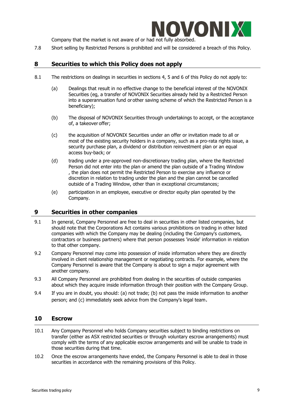

Company that the market is not aware of or had not fully absorbed.

7.8 Short selling by Restricted Persons is prohibited and will be considered a breach of this Policy.

# <span id="page-8-0"></span>**8 Securities to which this Policy does not apply**

- 8.1 The restrictions on dealings in securities in sections 4, 5 and 6 of this Policy do not apply to:
	- (a) Dealings that result in no effective change to the beneficial interest of the NOVONIX Securities (eg, a transfer of NOVONIX Securities already held by a Restricted Person into a superannuation fund or other saving scheme of which the Restricted Person is a beneficiary);
	- (b) The disposal of NOVONIX Securities through undertakings to accept, or the acceptance of, a takeover offer;
	- (c) the acquisition of NOVONIX Securities under an offer or invitation made to all or most of the existing security holders in a company, such as a pro-rata rights issue, a security purchase plan, a dividend or distribution reinvestment plan or an equal access buy-back; or
	- (d) trading under a pre-approved non-discretionary trading plan, where the Restricted Person did not enter into the plan or amend the plan outside of a Trading Window , the plan does not permit the Restricted Person to exercise any influence or discretion in relation to trading under the plan and the plan cannot be cancelled outside of a Trading Window, other than in exceptional circumstances;
	- (e) participation in an employee, executive or director equity plan operated by the Company.

#### <span id="page-8-1"></span>**9 Securities in other companies**

- 9.1 In general, Company Personnel are free to deal in securities in other listed companies, but should note that the Corporations Act contains various prohibitions on trading in other listed companies with which the Company may be dealing (including the Company's customers, contractors or business partners) where that person possesses 'inside' information in relation to that other company.
- 9.2 Company Personnel may come into possession of inside information where they are directly involved in client relationship management or negotiating contracts. For example, where the Company Personnel is aware that the Company is about to sign a major agreement with another company.
- 9.3 All Company Personnel are prohibited from dealing in the securities of outside companies about which they acquire inside information through their position with the Company Group.
- 9.4 If you are in doubt, you should: (a) not trade; (b) not pass the inside information to another person; and (c) immediately seek advice from the Company's legal team.

#### <span id="page-8-2"></span>**10 Escrow**

- 10.1 Any Company Personnel who holds Company securities subject to binding restrictions on transfer (either as ASX restricted securities or through voluntary escrow arrangements) must comply with the terms of any applicable escrow arrangements and will be unable to trade in those securities during that time.
- 10.2 Once the escrow arrangements have ended, the Company Personnel is able to deal in those securities in accordance with the remaining provisions of this Policy.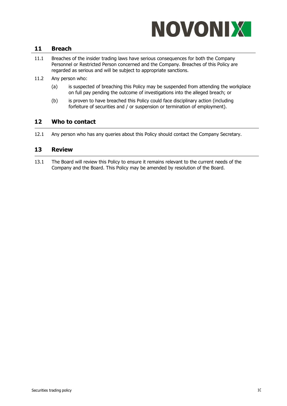

## <span id="page-9-0"></span>**11 Breach**

- 11.1 Breaches of the insider trading laws have serious consequences for both the Company Personnel or Restricted Person concerned and the Company. Breaches of this Policy are regarded as serious and will be subject to appropriate sanctions.
- 11.2 Any person who:
	- (a) is suspected of breaching this Policy may be suspended from attending the workplace on full pay pending the outcome of investigations into the alleged breach; or
	- (b) is proven to have breached this Policy could face disciplinary action (including forfeiture of securities and / or suspension or termination of employment).

## <span id="page-9-1"></span>**12 Who to contact**

12.1 Any person who has any queries about this Policy should contact the Company Secretary.

## <span id="page-9-2"></span>**13 Review**

13.1 The Board will review this Policy to ensure it remains relevant to the current needs of the Company and the Board. This Policy may be amended by resolution of the Board.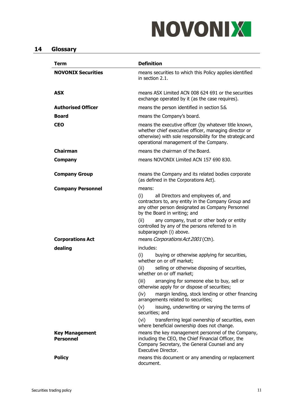# NOVONIX

# <span id="page-10-0"></span>**14 Glossary**

| <b>Term</b>                               | <b>Definition</b>                                                                                                                                                                                                                                                                                                                                                                                                                                                                                                                                                                    |
|-------------------------------------------|--------------------------------------------------------------------------------------------------------------------------------------------------------------------------------------------------------------------------------------------------------------------------------------------------------------------------------------------------------------------------------------------------------------------------------------------------------------------------------------------------------------------------------------------------------------------------------------|
| <b>NOVONIX Securities</b>                 | means securities to which this Policy applies identified<br>in section 2.1.                                                                                                                                                                                                                                                                                                                                                                                                                                                                                                          |
| <b>ASX</b>                                | means ASX Limited ACN 008 624 691 or the securities<br>exchange operated by it (as the case requires).                                                                                                                                                                                                                                                                                                                                                                                                                                                                               |
| <b>Authorised Officer</b>                 | means the person identified in section 5.6.                                                                                                                                                                                                                                                                                                                                                                                                                                                                                                                                          |
| <b>Board</b>                              | means the Company's board.                                                                                                                                                                                                                                                                                                                                                                                                                                                                                                                                                           |
| <b>CEO</b>                                | means the executive officer (by whatever title known,<br>whether chief executive officer, managing director or<br>otherwise) with sole responsibility for the strategic and<br>operational management of the Company.                                                                                                                                                                                                                                                                                                                                                                |
| <b>Chairman</b>                           | means the chairman of the Board.                                                                                                                                                                                                                                                                                                                                                                                                                                                                                                                                                     |
| <b>Company</b>                            | means NOVONIX Limited ACN 157 690 830.                                                                                                                                                                                                                                                                                                                                                                                                                                                                                                                                               |
| <b>Company Group</b>                      | means the Company and its related bodies corporate<br>(as defined in the Corporations Act).                                                                                                                                                                                                                                                                                                                                                                                                                                                                                          |
| <b>Company Personnel</b>                  | means:<br>all Directors and employees of, and<br>(i)<br>contractors to, any entity in the Company Group and<br>any other person designated as Company Personnel<br>by the Board in writing; and<br>any company, trust or other body or entity<br>(ii)<br>controlled by any of the persons referred to in<br>subparagraph (i) above.                                                                                                                                                                                                                                                  |
| <b>Corporations Act</b>                   | means <i>Corporations Act 2001</i> (Cth).                                                                                                                                                                                                                                                                                                                                                                                                                                                                                                                                            |
| dealing                                   | includes:<br>buying or otherwise applying for securities,<br>(i)<br>whether on or off market;<br>selling or otherwise disposing of securities,<br>(ii)<br>whether on or off market;<br>arranging for someone else to buy, sell or<br>(iii)<br>otherwise apply for or dispose of securities;<br>(iv)<br>margin lending, stock lending or other financing<br>arrangements related to securities;<br>issuing, underwriting or varying the terms of<br>(v)<br>securities; and<br>(vi)<br>transferring legal ownership of securities, even<br>where beneficial ownership does not change. |
| <b>Key Management</b><br><b>Personnel</b> | means the key management personnel of the Company,<br>including the CEO, the Chief Financial Officer, the<br>Company Secretary, the General Counsel and any<br>Executive Director.                                                                                                                                                                                                                                                                                                                                                                                                   |
| <b>Policy</b>                             | means this document or any amending or replacement<br>document.                                                                                                                                                                                                                                                                                                                                                                                                                                                                                                                      |